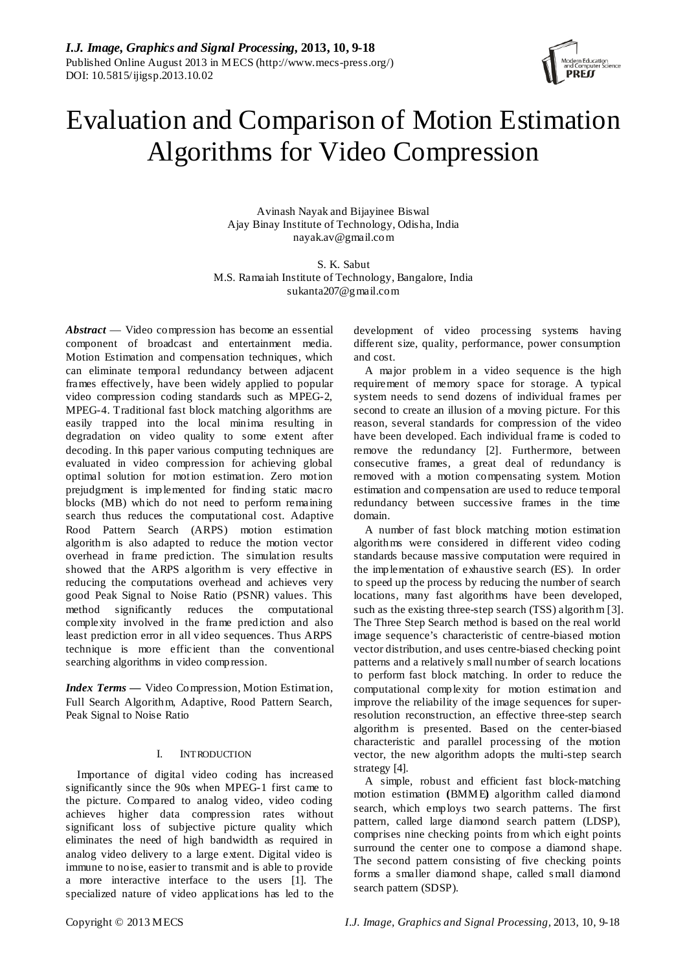

# Evaluation and Comparison of Motion Estimation Algorithms for Video Compression

Avinash Nayak and Bijayinee Biswal Ajay Binay Institute of Technology, Odisha, India nayak.av@gmail.com

S. K. Sabut M.S. Ramaiah Institute of Technology, Bangalore, India sukanta207@gmail.com

*Abstract* — Video compression has become an essential component of broadcast and entertainment media. Motion Estimation and compensation techniques, which can eliminate temporal redundancy between adjacent frames effectively, have been widely applied to popular video compression coding standards such as MPEG-2, MPEG-4. Traditional fast block matching algorithms are easily trapped into the local minima resulting in degradation on video quality to some extent after decoding. In this paper various computing techniques are evaluated in video compression for achieving global optimal solution for motion estimation. Zero motion prejudgment is implemented for finding static macro blocks (MB) which do not need to perform remaining search thus reduces the computational cost. Adaptive Rood Pattern Search (ARPS) motion estimation algorithm is also adapted to reduce the motion vector overhead in frame prediction. The simulation results showed that the ARPS algorithm is very effective in reducing the computations overhead and achieves very good Peak Signal to Noise Ratio (PSNR) values. This method significantly reduces the computational complexity involved in the frame prediction and also least prediction error in all video sequences. Thus ARPS technique is more efficient than the conventional searching algorithms in video compression.

*Index Terms —* Video Compression, Motion Estimation, Full Search Algorithm, Adaptive, Rood Pattern Search, Peak Signal to Noise Ratio

# I. INTRODUCTION

Importance of digital video coding has increased significantly since the 90s when MPEG-1 first came to the picture. Compared to analog video, video coding achieves higher data compression rates without significant loss of subjective picture quality which eliminates the need of high bandwidth as required in analog video delivery to a large extent. Digital video is immune to noise, easier to transmit and is able to provide a more interactive interface to the users [1]. The specialized nature of video applications has led to the

development of video processing systems having different size, quality, performance, power consumption and cost.

A major problem in a video sequence is the high requirement of memory space for storage. A typical system needs to send dozens of individual frames per second to create an illusion of a moving picture. For this reason, several standards for compression of the video have been developed. Each individual frame is coded to remove the redundancy [2]. Furthermore, between consecutive frames, a great deal of redundancy is removed with a motion compensating system. Motion estimation and compensation are used to reduce temporal redundancy between successive frames in the time domain.

A number of fast block matching motion estimation algorithms were considered in different video coding standards because massive computation were required in the implementation of exhaustive search (ES). In order to speed up the process by reducing the number of search locations, many fast algorithms have been developed, such as the existing three-step search (TSS) algorithm [3]. The Three Step Search method is based on the real world image sequence's characteristic of centre-biased motion vector distribution, and uses centre-biased checking point patterns and a relatively s mall number of search locations to perform fast block matching. In order to reduce the computational complexity for motion estimation and improve the reliability of the image sequences for superresolution reconstruction, an effective three-step search algorithm is presented. Based on the center-biased characteristic and parallel processing of the motion vector, the new algorithm adopts the multi-step search strategy [4].

A simple, robust and efficient fast block-matching motion estimation **(**BMME**)** algorithm called diamond search, which employs two search patterns. The first pattern, called large diamond search pattern (LDSP), comprises nine checking points from which eight points surround the center one to compose a diamond shape. The second pattern consisting of five checking points forms a smaller diamond shape, called s mall diamond search pattern (SDSP).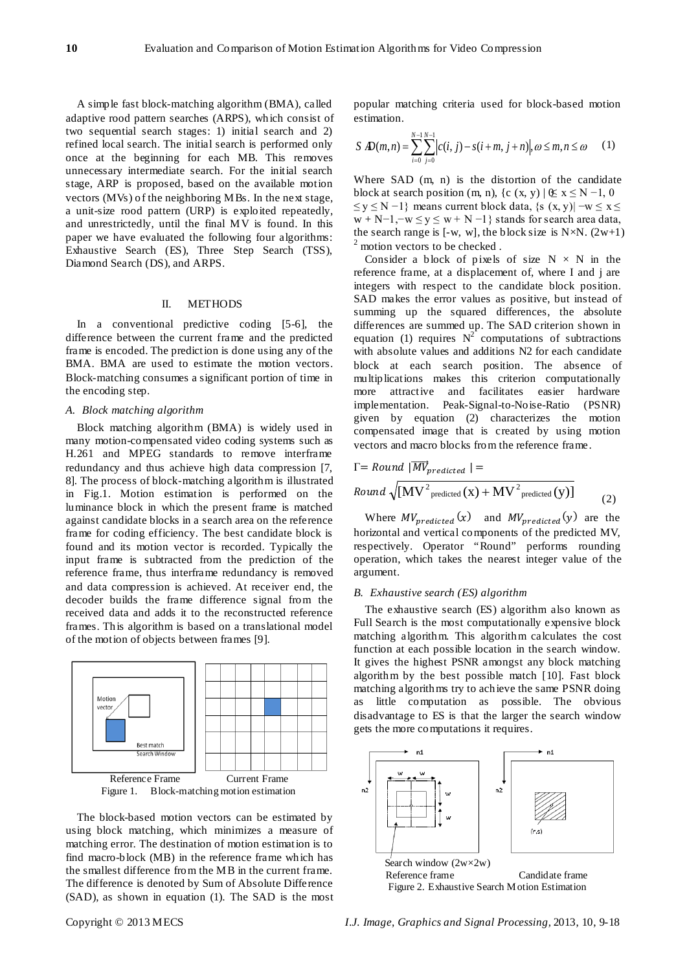A simple fast block-matching algorithm (BMA), called adaptive rood pattern searches (ARPS), which consist of two sequential search stages: 1) initial search and 2) refined local search. The initial search is performed only once at the beginning for each MB. This removes unnecessary intermediate search. For the initial search stage, ARP is proposed, based on the available motion vectors (MVs) of the neighboring MBs. In the next stage, a unit-size rood pattern (URP) is exploited repeatedly, and unrestrictedly, until the final MV is found. In this paper we have evaluated the following four algorithms: Exhaustive Search (ES), Three Step Search (TSS), Diamond Search (DS), and ARPS.

#### II. METHODS

In a conventional predictive coding [5-6], the difference between the current frame and the predicted frame is encoded. The prediction is done using any of the BMA. BMA are used to estimate the motion vectors. Block-matching consumes a significant portion of time in the encoding step.

### *A. Block matching algorithm*

Block matching algorithm (BMA) is widely used in many motion-compensated video coding systems such as H.261 and MPEG standards to remove interframe redundancy and thus achieve high data compression [7, 8]. The process of block-matching algorithm is illustrated in Fig.1. Motion estimation is performed on the luminance block in which the present frame is matched against candidate blocks in a search area on the reference frame for coding efficiency. The best candidate block is found and its motion vector is recorded. Typically the input frame is subtracted from the prediction of the reference frame, thus interframe redundancy is removed and data compression is achieved. At receiver end, the decoder builds the frame difference signal from the received data and adds it to the reconstructed reference frames. This algorithm is based on a translational model of the motion of objects between frames [9].



The block-based motion vectors can be estimated by using block matching, which minimizes a measure of matching error. The destination of motion estimation is to find macro-block (MB) in the reference frame which has the smallest difference from the MB in the current frame. The difference is denoted by Sum of Absolute Difference (SAD), as shown in equation (1). The SAD is the most popular matching criteria used for block-based motion estimation.

$$
S \, \mathbf{D}(m,n) = \sum_{i=0}^{N-1} \sum_{j=0}^{N-1} |c(i,j) - s(i+m, j+n)|, \, \omega \leq m, n \leq \omega \qquad (1)
$$

Where SAD (m, n) is the distortion of the candidate block at search position (m, n), {c (x, y) |  $\&$  x  $\leq$  N -1, 0  $\leq y \leq N-1$ } means current block data, {s (x, y)|  $-w \leq x \leq$  $w + N-1, -w \le y \le w + N-1$ } stands for search area data, the search range is [-w, w], the block size is  $N \times N$ . (2w+1) <sup>2</sup> motion vectors to be checked.

Consider a block of pixels of size  $N \times N$  in the reference frame, at a displacement of, where I and j are integers with respect to the candidate block position. SAD makes the error values as positive, but instead of summing up the squared differences, the absolute differences are summed up. The SAD criterion shown in equation (1) requires  $N^2$  computations of subtractions with absolute values and additions N2 for each candidate block at each search position. The absence of multiplications makes this criterion computationally more attractive and facilitates easier hardware implementation. Peak-Signal-to-Noise-Ratio (PSNR) given by equation (2) characterizes the motion compensated image that is created by using motion vectors and macro blocks from the reference frame.

$$
\Gamma = Round \ |\overrightarrow{MV}_{predicted} \ | =
$$
\n
$$
Round \ \sqrt{[MV^2_{predicted} (x) + MV^2_{predicted} (y)]}
$$
\n(2)

Where  $MV_{predicted}(x)$  and  $MV_{predicted}(y)$  are the horizontal and vertical components of the predicted MV, respectively. Operator "Round" performs rounding operation, which takes the nearest integer value of the argument.

## *B. Exhaustive search (ES) algorithm*

The exhaustive search (ES) algorithm also known as Full Search is the most computationally expensive block matching algorithm. This algorithm calculates the cost function at each possible location in the search window. It gives the highest PSNR amongst any block matching algorithm by the best possible match [10]. Fast block matching algorithms try to achieve the same PSNR doing as little computation as possible. The obvious disadvantage to ES is that the larger the search window gets the more computations it requires.

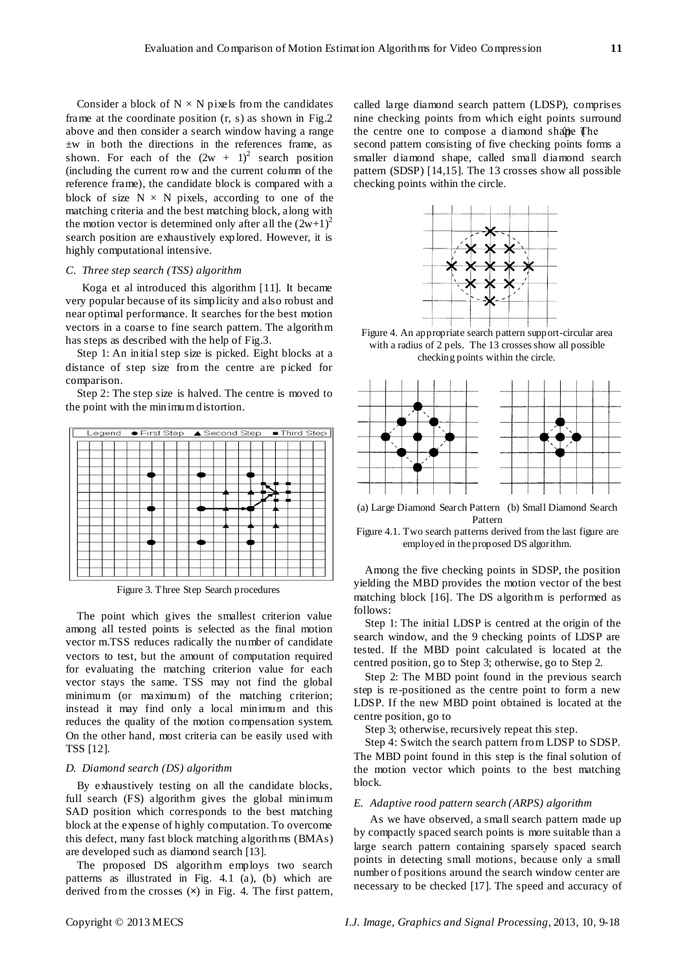Consider a block of  $N \times N$  pixels from the candidates frame at the coordinate position (r, s) as shown in Fig.2 above and then consider a search window having a range ±w in both the directions in the references frame, as shown. For each of the  $(2w + 1)^2$  search position (including the current row and the current column of the reference frame), the candidate block is compared with a block of size  $N \times N$  pixels, according to one of the matching criteria and the best matching block, along with the motion vector is determined only after all the  $(2w+1)^2$ search position are exhaustively explored. However, it is highly computational intensive.

## *C. Three step search (TSS) algorithm*

Koga et al introduced this algorithm [11]. It became very popular because of its simplicity and also robust and near optimal performance. It searches for the best motion vectors in a coarse to fine search pattern. The algorithm has steps as described with the help of Fig.3.

Step 1: An initial step size is picked. Eight blocks at a distance of step size from the centre are picked for comparison.

Step 2: The step size is halved. The centre is moved to the point with the minimum distortion.



Figure 3. Three Step Search procedures

The point which gives the smallest criterion value among all tested points is selected as the final motion vector m.TSS reduces radically the number of candidate vectors to test, but the amount of computation required for evaluating the matching criterion value for each vector stays the same. TSS may not find the global minimum (or maximum) of the matching criterion; instead it may find only a local minimum and this reduces the quality of the motion compensation system. On the other hand, most criteria can be easily used with TSS [12].

### *D. Diamond search (DS) algorithm*

By exhaustively testing on all the candidate blocks, full search (FS) algorithm gives the global minimum SAD position which corresponds to the best matching block at the expense of highly computation. To overcome this defect, many fast block matching algorithms (BMAs) are developed such as diamond search [13].

The proposed DS algorithm employs two search patterns as illustrated in Fig. 4.1 (a), (b) which are derived from the crosses (**×**) in Fig. 4. The first pattern, called large diamond search pattern (LDSP), comprises nine checking points from which eight points surround the centre one to compose a diamond shape (The second pattern consisting of five checking points forms a smaller diamond shape, called small diamond search pattern (SDSP) [14,15]. The 13 crosses show all possible checking points within the circle.



Figure 4. An appropriate search pattern support-circular area with a radius of 2 pels. The 13 crosses show all possible checking points within the circle.



(a) Large Diamond Search Pattern (b) Small Diamond Search Pattern

Figure 4.1. Two search patterns derived from the last figure are employed in the proposed DS algorithm.

Among the five checking points in SDSP, the position yielding the MBD provides the motion vector of the best matching block [16]. The DS algorithm is performed as follows:

Step 1: The initial LDSP is centred at the origin of the search window, and the 9 checking points of LDSP are tested. If the MBD point calculated is located at the centred position, go to Step 3; otherwise, go to Step 2.

Step 2: The MBD point found in the previous search step is re-positioned as the centre point to form a new LDSP. If the new MBD point obtained is located at the centre position, go to

Step 3; otherwise, recursively repeat this step.

Step 4: Switch the search pattern from LDSP to SDSP. The MBD point found in this step is the final solution of the motion vector which points to the best matching block.

#### *E. Adaptive rood pattern search (ARPS) algorithm*

As we have observed, a small search pattern made up by compactly spaced search points is more suitable than a large search pattern containing sparsely spaced search points in detecting small motions, because only a small number of positions around the search window center are necessary to be checked [17]. The speed and accuracy of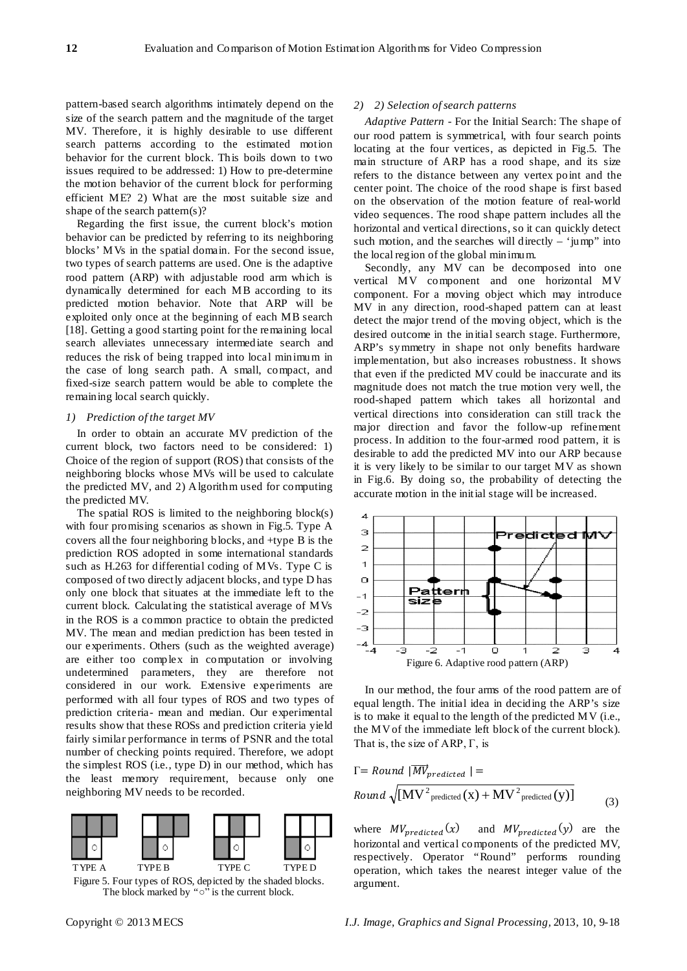pattern-based search algorithms intimately depend on the size of the search pattern and the magnitude of the target MV. Therefore, it is highly desirable to use different search patterns according to the estimated motion behavior for the current block. This boils down to two issues required to be addressed: 1) How to pre-determine the motion behavior of the current block for performing efficient ME? 2) What are the most suitable size and shape of the search pattern(s)?

Regarding the first issue, the current block's motion behavior can be predicted by referring to its neighboring blocks' MVs in the spatial domain. For the second issue, two types of search patterns are used. One is the adaptive rood pattern (ARP) with adjustable rood arm which is dynamically determined for each MB according to its predicted motion behavior. Note that ARP will be exploited only once at the beginning of each MB search [18]. Getting a good starting point for the remaining local search alleviates unnecessary intermediate search and reduces the risk of being trapped into local minimum in the case of long search path. A small, compact, and fixed-size search pattern would be able to complete the remaining local search quickly.

#### *1) Prediction of the target MV*

In order to obtain an accurate MV prediction of the current block, two factors need to be considered: 1) Choice of the region of support (ROS) that consists of the neighboring blocks whose MVs will be used to calculate the predicted MV, and 2) Algorithm used for computing the predicted MV.

The spatial ROS is limited to the neighboring  $block(s)$ with four promising scenarios as shown in Fig.5. Type A covers all the four neighboring blocks, and +type B is the prediction ROS adopted in some international standards such as H.263 for differential coding of MVs. Type C is composed of two directly adjacent blocks, and type D has only one block that situates at the immediate left to the current block. Calculating the statistical average of MVs in the ROS is a common practice to obtain the predicted MV. The mean and median prediction has been tested in our experiments. Others (such as the weighted average) are either too complex in computation or involving undetermined parameters, they are therefore not considered in our work. Extensive experiments are performed with all four types of ROS and two types of prediction criteria- mean and median. Our experimental results show that these ROSs and prediction criteria yield fairly similar performance in terms of PSNR and the total number of checking points required. Therefore, we adopt the simplest ROS (i.e., type D) in our method, which has the least memory requirement, because only one neighboring MV needs to be recorded.



Figure 5. Four types of ROS, depicted by the shaded blocks. The block marked by "○" is the current block.

## *2) 2) Selection of search patterns*

*Adaptive Pattern* - For the Initial Search: The shape of our rood pattern is symmetrical, with four search points locating at the four vertices, as depicted in Fig.5. The main structure of ARP has a rood shape, and its size refers to the distance between any vertex point and the center point. The choice of the rood shape is first based on the observation of the motion feature of real-world video sequences. The rood shape pattern includes all the horizontal and vertical directions, so it can quickly detect such motion, and the searches will directly  $-$  'jump'' into the local region of the global minimum.

Secondly, any MV can be decomposed into one vertical MV component and one horizontal MV component. For a moving object which may introduce MV in any direction, rood-shaped pattern can at least detect the major trend of the moving object, which is the desired outcome in the initial search stage. Furthermore, ARP's symmetry in shape not only benefits hardware implementation, but also increases robustness. It shows that even if the predicted MV could be inaccurate and its magnitude does not match the true motion very well, the rood-shaped pattern which takes all horizontal and vertical directions into consideration can still track the major direction and favor the follow-up refinement process. In addition to the four-armed rood pattern, it is desirable to add the predicted MV into our ARP because it is very likely to be similar to our target MV as shown in Fig.6. By doing so, the probability of detecting the accurate motion in the initial stage will be increased.



In our method, the four arms of the rood pattern are of equal length. The initial idea in deciding the ARP's size is to make it equal to the length of the predicted MV (i.e., the MV of the immediate left block of the current block). That is, the size of ARP,  $\Gamma$ , is

$$
\Gamma = Round \ |MV_{predicted} | =
$$
\n
$$
Round \sqrt{[MV^2_{predicted} (x) + MV^2_{predicted} (y)]}
$$
\n(3)

where  $MV_{predicted}(x)$  and  $MV_{predicted}(y)$  are the horizontal and vertical components of the predicted MV, respectively. Operator "Round" performs rounding operation, which takes the nearest integer value of the argument.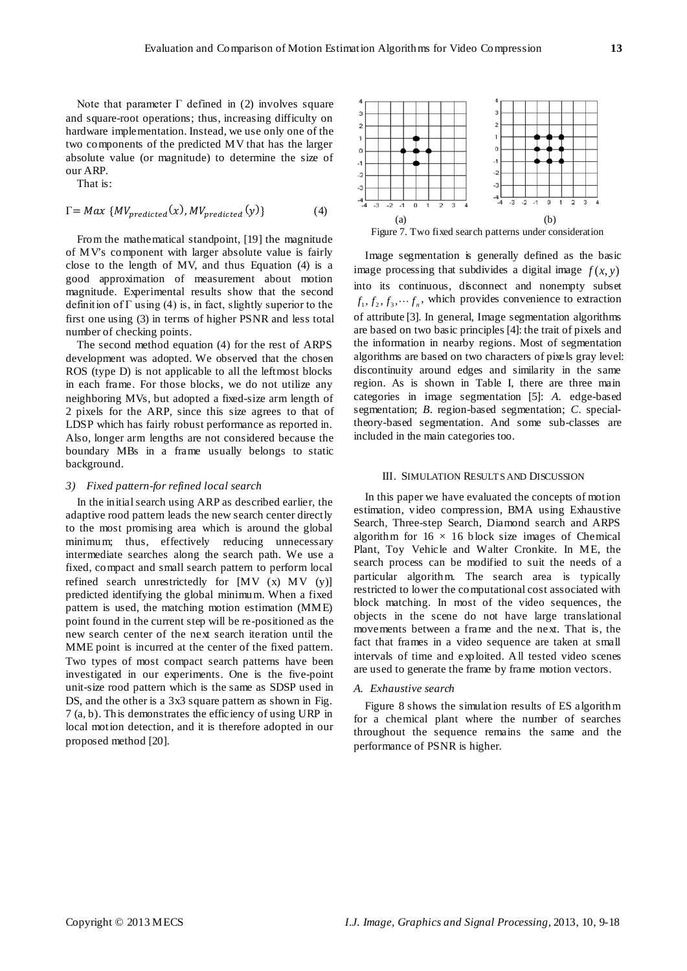Note that parameter  $\Gamma$  defined in (2) involves square and square-root operations; thus, increasing difficulty on hardware implementation. Instead, we use only one of the two components of the predicted MV that has the larger absolute value (or magnitude) to determine the size of our ARP.

That is:

$$
\Gamma = Max \{MV_{predicted}(x), MV_{predicted}(y)\}\tag{4}
$$

From the mathematical standpoint, [19] the magnitude of MV's component with larger absolute value is fairly close to the length of MV, and thus Equation (4) is a good approximation of measurement about motion magnitude. Experimental results show that the second definition of  $\Gamma$  using (4) is, in fact, slightly superior to the first one using (3) in terms of higher PSNR and less total number of checking points.

The second method equation (4) for the rest of ARPS development was adopted. We observed that the chosen ROS (type D) is not applicable to all the leftmost blocks in each frame. For those blocks, we do not utilize any neighboring MVs, but adopted a fixed-size arm length of 2 pixels for the ARP, since this size agrees to that of LDSP which has fairly robust performance as reported in. Also, longer arm lengths are not considered because the boundary MBs in a frame usually belongs to static background.

## *3) Fixed pattern-for refined local search*

In the initial search using ARP as described earlier, the adaptive rood pattern leads the new search center directly to the most promising area which is around the global minimum; thus, effectively reducing unnecessary intermediate searches along the search path. We use a fixed, compact and small search pattern to perform local refined search unrestrictedly for [MV (x) MV (y)] predicted identifying the global minimum. When a fixed pattern is used, the matching motion estimation (MME) point found in the current step will be re-positioned as the new search center of the next search iteration until the MME point is incurred at the center of the fixed pattern. Two types of most compact search patterns have been investigated in our experiments. One is the five-point unit-size rood pattern which is the same as SDSP used in DS, and the other is a 3x3 square pattern as shown in Fig. 7 (a, b). This demonstrates the efficiency of using URP in local motion detection, and it is therefore adopted in our proposed method [20].



Image segmentation is generally defined as the basic image processing that subdivides a digital image  $f(x, y)$ into its continuous, disconnect and nonempty subset  $f_1, f_2, f_3, \dots, f_n$ , which provides convenience to extraction of attribute [3]. In general, Image segmentation algorithms are based on two basic principles [4]: the trait of pixels and the information in nearby regions. Most of segmentation algorithms are based on two characters of pixels gray level: discontinuity around edges and similarity in the same region. As is shown in Table I, there are three main categories in image segmentation [5]: *A.* edge-based segmentation; *B*. region-based segmentation; *C*. specialtheory-based segmentation. And some sub-classes are included in the main categories too.

## III. SIMULATION RESULTS AND DISCUSSION

In this paper we have evaluated the concepts of motion estimation, video compression, BMA using Exhaustive Search, Three-step Search, Diamond search and ARPS algorithm for  $16 \times 16$  block size images of Chemical Plant, Toy Vehicle and Walter Cronkite. In ME, the search process can be modified to suit the needs of a particular algorithm. The search area is typically restricted to lower the computational cost associated with block matching. In most of the video sequences, the objects in the scene do not have large translational movements between a frame and the next. That is, the fact that frames in a video sequence are taken at small intervals of time and exploited. All tested video scenes are used to generate the frame by frame motion vectors.

#### *A. Exhaustive search*

Figure 8 shows the simulation results of ES algorithm for a chemical plant where the number of searches throughout the sequence remains the same and the performance of PSNR is higher.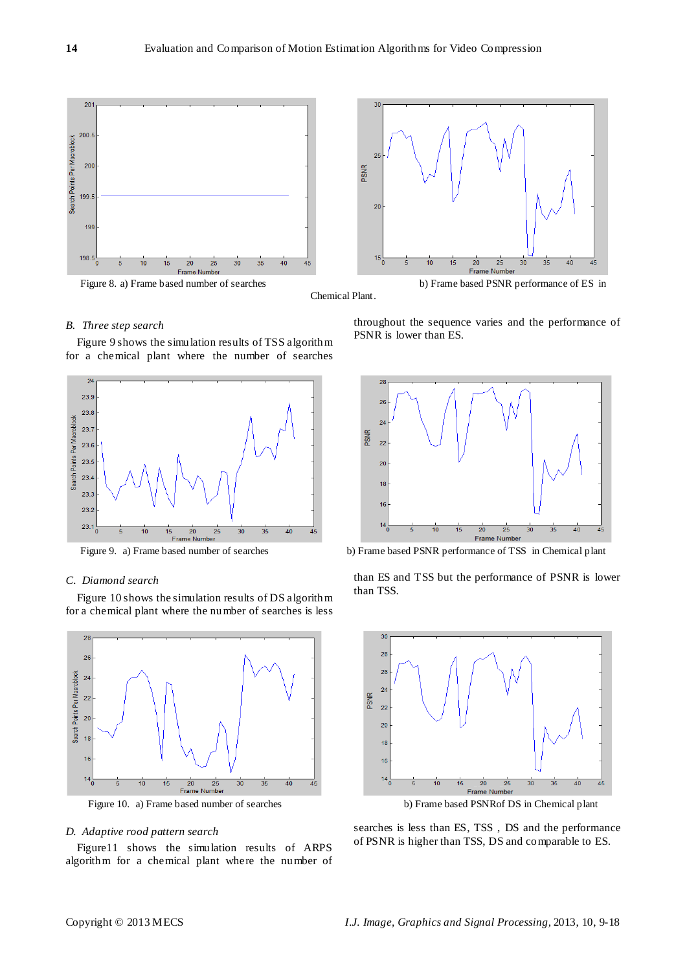

Chemical Plant.

# *B. Three step search*

Figure 9 shows the simulation results of TSS algorithm for a chemical plant where the number of searches



## *C. Diamond search*

Figure 10 shows the simulation results of DS algorithm for a chemical plant where the number of searches is less



## *D. Adaptive rood pattern search*

Figure11 shows the simulation results of ARPS algorithm for a chemical plant where the number of

throughout the sequence varies and the performance of PSNR is lower than ES.



Figure 9. a) Frame based number of searches b) Frame based PSNR performance of TSS in Chemical plant

than ES and TSS but the performance of PSNR is lower than TSS.



Figure 10. a) Frame based number of searches b) Frame based PSNRof DS in Chemical plant

searches is less than ES, TSS , DS and the performance of PSNR is higher than TSS, DS and comparable to ES.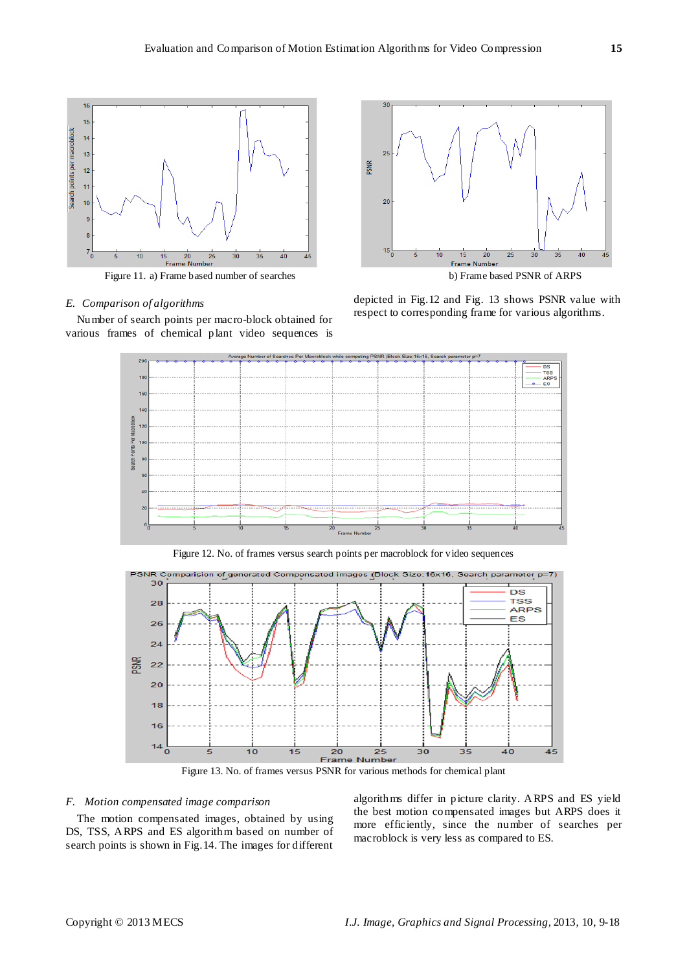

Figure 11. a) Frame based number of searches b) Frame based PSNR of ARPS

## *E. Comparison of algorithms*

Number of search points per macro-block obtained for various frames of chemical plant video sequences is



depicted in Fig.12 and Fig. 13 shows PSNR value with respect to corresponding frame for various algorithms.



Figure 12. No. of frames versus search points per macroblock for video sequences



Figure 13. No. of frames versus PSNR for various methods for chemical plant

#### *F. Motion compensated image comparison*

The motion compensated images, obtained by using DS, TSS, ARPS and ES algorithm based on number of search points is shown in Fig.14. The images for different algorithms differ in picture clarity. ARPS and ES yield the best motion compensated images but ARPS does it more efficiently, since the number of searches per macroblock is very less as compared to ES.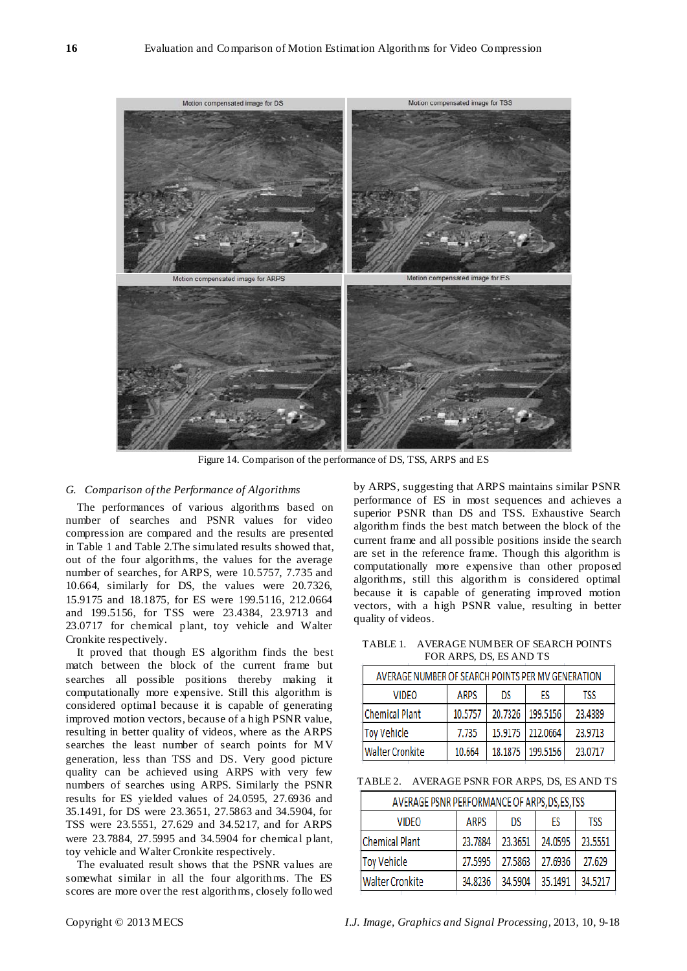

Figure 14. Comparison of the performance of DS, TSS, ARPS and ES

## *G. Comparison of the Performance of Algorithms*

The performances of various algorithms based on number of searches and PSNR values for video compression are compared and the results are presented in Table 1 and Table 2.The simulated results showed that, out of the four algorithms, the values for the average number of searches, for ARPS, were 10.5757, 7.735 and 10.664, similarly for DS, the values were 20.7326, 15.9175 and 18.1875, for ES were 199.5116, 212.0664 and 199.5156, for TSS were 23.4384, 23.9713 and 23.0717 for chemical plant, toy vehicle and Walter Cronkite respectively.

It proved that though ES algorithm finds the best match between the block of the current frame but searches all possible positions thereby making it computationally more expensive. Still this algorithm is considered optimal because it is capable of generating improved motion vectors, because of a high PSNR value, resulting in better quality of videos, where as the ARPS searches the least number of search points for MV generation, less than TSS and DS. Very good picture quality can be achieved using ARPS with very few numbers of searches using ARPS. Similarly the PSNR results for ES yielded values of 24.0595, 27.6936 and 35.1491, for DS were 23.3651, 27.5863 and 34.5904, for TSS were 23.5551, 27.629 and 34.5217, and for ARPS were 23.7884, 27.5995 and 34.5904 for chemical plant, toy vehicle and Walter Cronkite respectively.

The evaluated result shows that the PSNR values are somewhat similar in all the four algorithms. The ES scores are more over the rest algorithms, closely followed by ARPS, suggesting that ARPS maintains similar PSNR performance of ES in most sequences and achieves a superior PSNR than DS and TSS. Exhaustive Search algorithm finds the best match between the block of the current frame and all possible positions inside the search are set in the reference frame. Though this algorithm is computationally more expensive than other proposed algorithms, still this algorithm is considered optimal because it is capable of generating improved motion vectors, with a high PSNR value, resulting in better quality of videos.

TABLE 1. AVERAGE NUMBER OF SEARCH POINTS FOR ARPS, DS, ES AND TS

| AVERAGE NUMBER OF SEARCH POINTS PER MV GENERATION |             |         |          |         |  |  |  |
|---------------------------------------------------|-------------|---------|----------|---------|--|--|--|
| VIDEO                                             | <b>ARPS</b> | DS      | ES       | TSS     |  |  |  |
| <b>Chemical Plant</b>                             | 10.5757     | 20,7326 | 199.5156 | 23.4389 |  |  |  |
| <b>Toy Vehicle</b>                                | 7.735       | 15.9175 | 212.0664 | 23,9713 |  |  |  |
| <b>Walter Cronkite</b>                            | 10.664      | 18.1875 | 199.5156 | 23.0717 |  |  |  |

TABLE 2. AVERAGE PSNR FOR ARPS, DS, ES AND TS

| AVERAGE PSNR PERFORMANCE OF ARPS, DS, ES, TSS |             |         |         |            |  |  |
|-----------------------------------------------|-------------|---------|---------|------------|--|--|
| <b>VIDEO</b>                                  | <b>ARPS</b> | DS      | ES      | <b>TSS</b> |  |  |
| <b>Chemical Plant</b>                         | 23,7884     | 23,3651 | 24.0595 | 23,5551    |  |  |
| <b>Toy Vehicle</b>                            | 27.5995     | 27.5863 | 27.6936 | 27.629     |  |  |
| <b>Walter Cronkite</b>                        | 34.8236     | 34.5904 | 35.1491 | 34.5217    |  |  |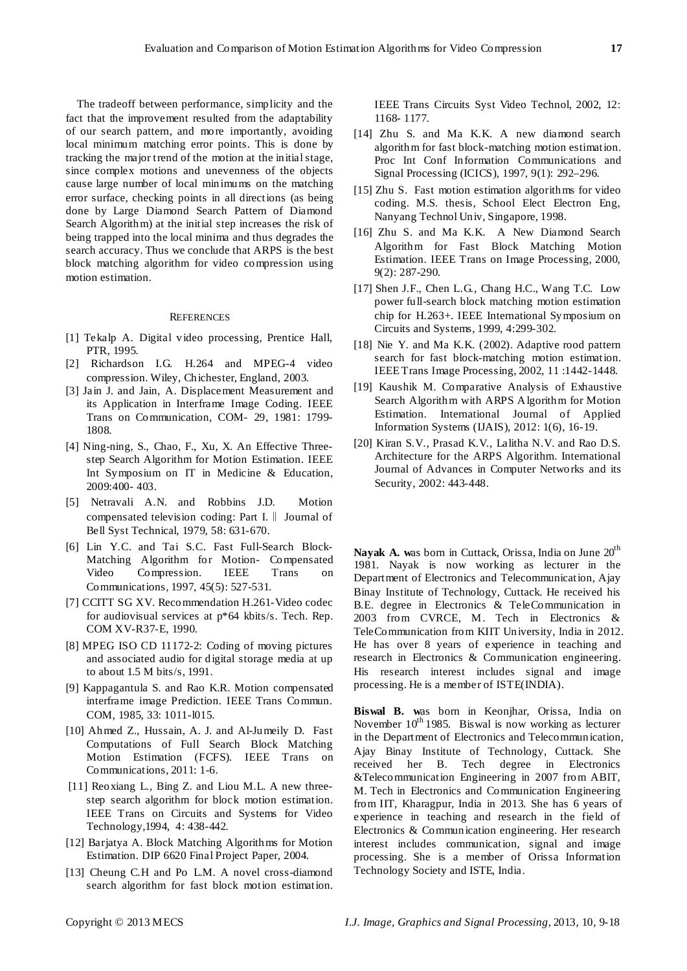The tradeoff between performance, simplicity and the fact that the improvement resulted from the adaptability of our search pattern, and more importantly, avoiding local minimum matching error points. This is done by tracking the major trend of the motion at the initial stage, since complex motions and unevenness of the objects cause large number of local minimums on the matching error surface, checking points in all directions (as being done by Large Diamond Search Pattern of Diamond Search Algorithm) at the initial step increases the risk of being trapped into the local minima and thus degrades the search accuracy. Thus we conclude that ARPS is the best block matching algorithm for video compression using motion estimation.

#### **REFERENCES**

- [1] Tekalp A. Digital video processing, Prentice Hall, PTR, 1995.
- [2] Richardson I.G. H.264 and MPEG-4 video compression. Wiley, Chichester, England, 2003.
- [3] Jain J. and Jain, A. Displacement Measurement and its Application in Interframe Image Coding. IEEE Trans on Communication, COM- 29, 1981: 1799- 1808.
- [4] Ning-ning, S., Chao, F., Xu, X. An Effective Threestep Search Algorithm for Motion Estimation. IEEE Int Symposium on IT in Medicine & Education, 2009:400- 403.
- [5] Netravali A.N. and Robbins J.D. Motion compensated television coding: Part I.‖ Journal of Bell Syst Technical, 1979, 58: 631-670.
- [6] Lin Y.C. and Tai S.C. Fast Full-Search Block-Matching Algorithm for Motion- Compensated Video Compression. IEEE Trans on Communications, 1997, 45(5): 527-531.
- [7] CCITT SG XV. Recommendation H.261-Video codec for audiovisual services at p\*64 kbits/s. Tech. Rep. COM XV-R37-E, 1990.
- [8] MPEG ISO CD 11172-2: Coding of moving pictures and associated audio for digital storage media at up to about 1.5 M bits/s, 1991.
- [9] Kappagantula S. and Rao K.R. Motion compensated interframe image Prediction. IEEE Trans Commun. COM, 1985, 33: 1011-l015.
- [10] Ahmed Z., Hussain, A. J. and Al-Jumeily D. Fast Computations of Full Search Block Matching Motion Estimation (FCFS). IEEE Trans on Communications, 2011: 1-6.
- [11] Reoxiang L., Bing Z. and Liou M.L. A new threestep search algorithm for block motion estimation. IEEE Trans on Circuits and Systems for Video Technology,1994, 4: 438-442.
- [12] Barjatya A. Block Matching Algorithms for Motion Estimation. DIP 6620 Final Project Paper, 2004.
- [13] Cheung C.H and Po L.M. A novel cross-diamond search algorithm for fast block motion estimation.

IEEE Trans Circuits Syst Video Technol, 2002, 12: 1168- 1177.

- [14] Zhu S. and Ma K.K. A new diamond search algorithm for fast block-matching motion estimation. Proc Int Conf Information Communications and Signal Processing (ICICS), 1997, 9(1): 292–296.
- [15] Zhu S. Fast motion estimation algorithms for video coding. M.S. thesis, School Elect Electron Eng, Nanyang Technol Univ, Singapore, 1998.
- [16] Zhu S. and Ma K.K. A New Diamond Search Algorithm for Fast Block Matching Motion Estimation. IEEE Trans on Image Processing, 2000, 9(2): 287-290.
- [17] Shen J.F., Chen L.G., Chang H.C., Wang T.C. Low power full-search block matching motion estimation chip for H.263+. IEEE International Symposium on Circuits and Systems, 1999, 4:299-302.
- [18] Nie Y. and Ma K.K. (2002). Adaptive rood pattern search for fast block-matching motion estimation. IEEE Trans Image Processing, 2002, 11 :1442-1448.
- [19] Kaushik M. Comparative Analysis of Exhaustive Search Algorithm with ARPS Algorithm for Motion Estimation. International Journal of Applied Information Systems (IJAIS), 2012: 1(6), 16-19.
- [20] Kiran S.V., Prasad K.V., Lalitha N.V. and Rao D.S. Architecture for the ARPS Algorithm. International Journal of Advances in Computer Networks and its Security, 2002: 443-448.

Nayak A. was born in Cuttack, Orissa, India on June 20<sup>th</sup> 1981. Nayak is now working as lecturer in the Department of Electronics and Telecommunication, Ajay Binay Institute of Technology, Cuttack. He received his B.E. degree in Electronics & TeleCommunication in 2003 from CVRCE, M. Tech in Electronics & TeleCommunication from KIIT University, India in 2012. He has over 8 years of experience in teaching and research in Electronics & Communication engineering. His research interest includes signal and image processing. He is a member of ISTE(INDIA).

**Biswal B. w**as born in Keonjhar, Orissa, India on November  $10^{th}$  1985. Biswal is now working as lecturer in the Department of Electronics and Telecommunication, Ajay Binay Institute of Technology, Cuttack. She received her B. Tech degree in Electronics &Telecommunication Engineering in 2007 from ABIT, M. Tech in Electronics and Communication Engineering from IIT, Kharagpur, India in 2013. She has 6 years of experience in teaching and research in the field of Electronics & Communication engineering. Her research interest includes communication, signal and image processing. She is a member of Orissa Information Technology Society and ISTE, India.